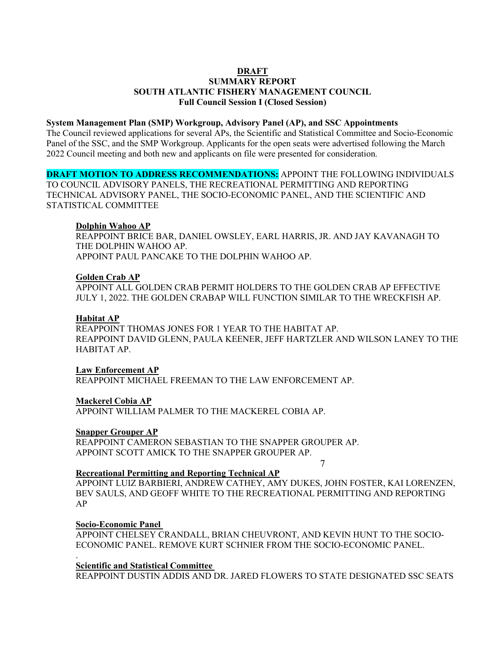# **DRAFT**

# **SUMMARY REPORT SOUTH ATLANTIC FISHERY MANAGEMENT COUNCIL Full Council Session I (Closed Session)**

### **System Management Plan (SMP) Workgroup, Advisory Panel (AP), and SSC Appointments**

The Council reviewed applications for several APs, the Scientific and Statistical Committee and Socio-Economic Panel of the SSC, and the SMP Workgroup. Applicants for the open seats were advertised following the March 2022 Council meeting and both new and applicants on file were presented for consideration.

## **DRAFT MOTION TO ADDRESS RECOMMENDATIONS:** APPOINT THE FOLLOWING INDIVIDUALS

TO COUNCIL ADVISORY PANELS, THE RECREATIONAL PERMITTING AND REPORTING TECHNICAL ADVISORY PANEL, THE SOCIO-ECONOMIC PANEL, AND THE SCIENTIFIC AND STATISTICAL COMMITTEE

## **Dolphin Wahoo AP**

REAPPOINT BRICE BAR, DANIEL OWSLEY, EARL HARRIS, JR. AND JAY KAVANAGH TO THE DOLPHIN WAHOO AP. APPOINT PAUL PANCAKE TO THE DOLPHIN WAHOO AP.

### **Golden Crab AP**

APPOINT ALL GOLDEN CRAB PERMIT HOLDERS TO THE GOLDEN CRAB AP EFFECTIVE JULY 1, 2022. THE GOLDEN CRABAP WILL FUNCTION SIMILAR TO THE WRECKFISH AP.

### **Habitat AP**

REAPPOINT THOMAS JONES FOR 1 YEAR TO THE HABITAT AP. REAPPOINT DAVID GLENN, PAULA KEENER, JEFF HARTZLER AND WILSON LANEY TO THE HABITAT AP.

**Law Enforcement AP** REAPPOINT MICHAEL FREEMAN TO THE LAW ENFORCEMENT AP.

## **Mackerel Cobia AP**

APPOINT WILLIAM PALMER TO THE MACKEREL COBIA AP.

#### **Snapper Grouper AP**

REAPPOINT CAMERON SEBASTIAN TO THE SNAPPER GROUPER AP. APPOINT SCOTT AMICK TO THE SNAPPER GROUPER AP.

7

## **Recreational Permitting and Reporting Technical AP**

APPOINT LUIZ BARBIERI, ANDREW CATHEY, AMY DUKES, JOHN FOSTER, KAI LORENZEN, BEV SAULS, AND GEOFF WHITE TO THE RECREATIONAL PERMITTING AND REPORTING AP

### **Socio-Economic Panel**

.

APPOINT CHELSEY CRANDALL, BRIAN CHEUVRONT, AND KEVIN HUNT TO THE SOCIO-ECONOMIC PANEL. REMOVE KURT SCHNIER FROM THE SOCIO-ECONOMIC PANEL.

#### **Scientific and Statistical Committee**

REAPPOINT DUSTIN ADDIS AND DR. JARED FLOWERS TO STATE DESIGNATED SSC SEATS